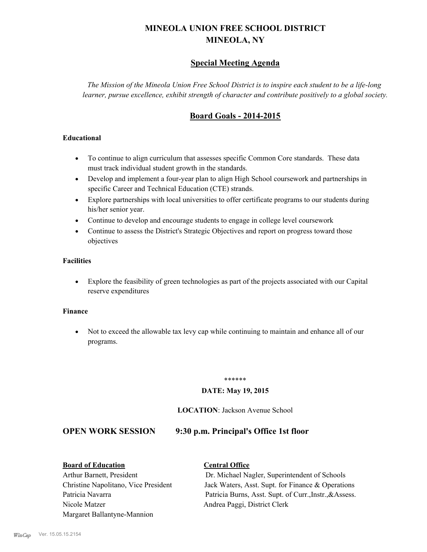# **MINEOLA UNION FREE SCHOOL DISTRICT MINEOLA, NY**

# **Special Meeting Agenda**

*The Mission of the Mineola Union Free School District is to inspire each student to be a life-long learner, pursue excellence, exhibit strength of character and contribute positively to a global society.*

# **Board Goals - 2014-2015**

### **Educational**

- · To continue to align curriculum that assesses specific Common Core standards. These data must track individual student growth in the standards.
- · Develop and implement a four-year plan to align High School coursework and partnerships in specific Career and Technical Education (CTE) strands.
- · Explore partnerships with local universities to offer certificate programs to our students during his/her senior year.
- · Continue to develop and encourage students to engage in college level coursework
- Continue to assess the District's Strategic Objectives and report on progress toward those objectives

### **Facilities**

· Explore the feasibility of green technologies as part of the projects associated with our Capital reserve expenditures

#### **Finance**

· Not to exceed the allowable tax levy cap while continuing to maintain and enhance all of our programs.

#### \*\*\*\*\*\*

## **DATE: May 19, 2015**

#### **LOCATION**: Jackson Avenue School

## **OPEN WORK SESSION 9:30 p.m. Principal's Office 1st floor**

#### **Board of Education Central Office**

Nicole Matzer Andrea Paggi, District Clerk Margaret Ballantyne-Mannion

Arthur Barnett, President Dr. Michael Nagler, Superintendent of Schools Christine Napolitano, Vice President Jack Waters, Asst. Supt. for Finance & Operations Patricia Navarra Patricia Burns, Asst. Supt. of Curr., Instr., & Assess.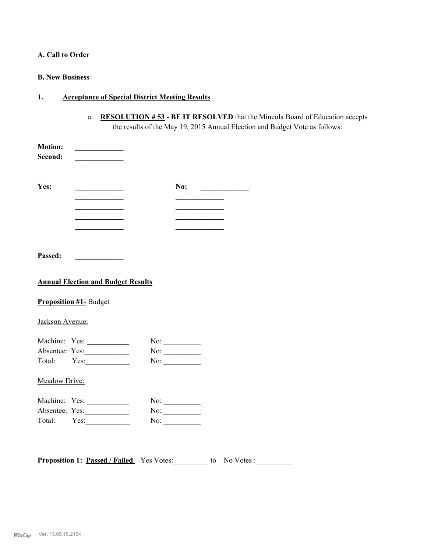# **A. Call to Order**

### **B. New Business**

# **1. Acceptance of Special District Meeting Results**

a. **RESOLUTION # 53 - BE IT RESOLVED** that the Mineola Board of Education accepts the results of the May 19, 2015 Annual Election and Budget Vote as follows:

| <b>Motion:</b><br>Second:                 |                                              |  |                                         |  |
|-------------------------------------------|----------------------------------------------|--|-----------------------------------------|--|
| Yes:                                      | the control of the control of the control of |  | No: $\qquad \qquad$                     |  |
|                                           | the control of the control of the control of |  |                                         |  |
|                                           | <u> 1989 - Johann Barbara, martin a</u>      |  | <u> 1980 - Johann Barbara, martin a</u> |  |
|                                           |                                              |  |                                         |  |
|                                           | the control of the control of the control of |  |                                         |  |
| Passed:                                   |                                              |  |                                         |  |
| <b>Annual Election and Budget Results</b> |                                              |  |                                         |  |
|                                           | <b>Proposition #1- Budget</b>                |  |                                         |  |
| Jackson Avenue:                           |                                              |  |                                         |  |
|                                           | Machine: Yes:                                |  | No: $\qquad \qquad$                     |  |
|                                           | Absentee: Yes:                               |  | No: $\qquad \qquad$                     |  |
|                                           | Total: Yes:                                  |  | No:                                     |  |
| Meadow Drive:                             |                                              |  |                                         |  |
|                                           | Machine: Yes:                                |  | No:                                     |  |
|                                           |                                              |  |                                         |  |
|                                           | Absentee: Yes:                               |  | No: $\qquad \qquad$                     |  |

**Proposition 1: <u>Passed / Failed</u>** Yes Votes: to No Votes :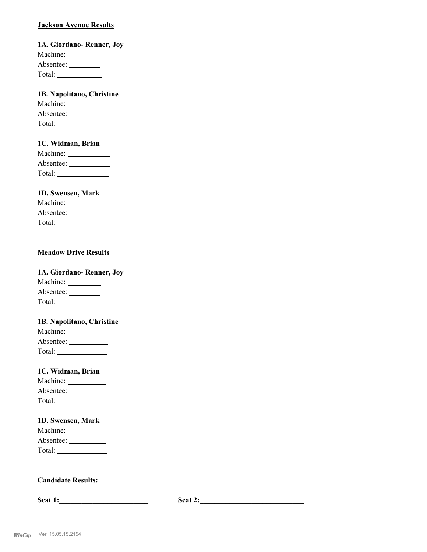### **Jackson Avenue Results**

**1A. Giordano- Renner, Joy** Machine: Absentee: Total:

# **1B. Napolitano, Christine**

| Machine:  |  |
|-----------|--|
| Absentee: |  |
| Total:    |  |

# **1C. Widman, Brian**

| Machine:  |  |
|-----------|--|
| Absentee: |  |
| Total:    |  |

## **1D. Swensen, Mark**

| Machine:  |  |
|-----------|--|
| Absentee: |  |
| Total:    |  |

## **Meadow Drive Results**

| 1A. Giordano-Renner, Joy |  |
|--------------------------|--|
| Machine:                 |  |
| Absentee:                |  |
| Total:                   |  |

#### **1B. Napolitano, Christine**

| Machine:  |  |
|-----------|--|
| Absentee: |  |
| Total:    |  |

#### **1C. Widman, Brian**

| Machine:  |  |
|-----------|--|
| Absentee: |  |
| Total:    |  |

#### **1D. Swensen, Mark**

| Machine:  |  |
|-----------|--|
| Absentee: |  |
| Total:    |  |

## **Candidate Results:**

**Seat 1:\_\_\_\_\_\_\_\_\_\_\_\_\_\_\_\_\_\_\_\_\_\_\_\_ Seat 2:\_\_\_\_\_\_\_\_\_\_\_\_\_\_\_\_\_\_\_\_\_\_\_\_\_\_\_\_**